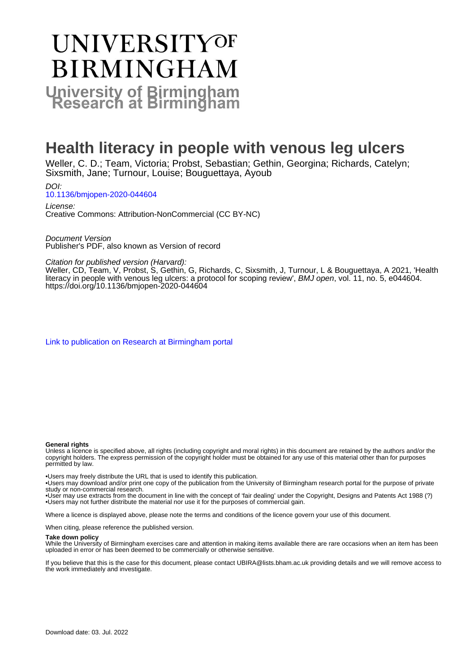# **UNIVERSITYOF BIRMINGHAM University of Birmingham**

### **Health literacy in people with venous leg ulcers**

Weller, C. D.; Team, Victoria; Probst, Sebastian; Gethin, Georgina; Richards, Catelyn; Sixsmith, Jane; Turnour, Louise; Bouguettaya, Ayoub

DOI: [10.1136/bmjopen-2020-044604](https://doi.org/10.1136/bmjopen-2020-044604)

License: Creative Commons: Attribution-NonCommercial (CC BY-NC)

Document Version Publisher's PDF, also known as Version of record

Citation for published version (Harvard):

Weller, CD, Team, V, Probst, S, Gethin, G, Richards, C, Sixsmith, J, Turnour, L & Bouguettaya, A 2021, 'Health literacy in people with venous leg ulcers: a protocol for scoping review', BMJ open, vol. 11, no. 5, e044604. <https://doi.org/10.1136/bmjopen-2020-044604>

[Link to publication on Research at Birmingham portal](https://birmingham.elsevierpure.com/en/publications/93c6814c-d258-4e04-9c76-54b9bf6a47d5)

#### **General rights**

Unless a licence is specified above, all rights (including copyright and moral rights) in this document are retained by the authors and/or the copyright holders. The express permission of the copyright holder must be obtained for any use of this material other than for purposes permitted by law.

• Users may freely distribute the URL that is used to identify this publication.

• Users may download and/or print one copy of the publication from the University of Birmingham research portal for the purpose of private study or non-commercial research.

• User may use extracts from the document in line with the concept of 'fair dealing' under the Copyright, Designs and Patents Act 1988 (?) • Users may not further distribute the material nor use it for the purposes of commercial gain.

Where a licence is displayed above, please note the terms and conditions of the licence govern your use of this document.

When citing, please reference the published version.

#### **Take down policy**

While the University of Birmingham exercises care and attention in making items available there are rare occasions when an item has been uploaded in error or has been deemed to be commercially or otherwise sensitive.

If you believe that this is the case for this document, please contact UBIRA@lists.bham.ac.uk providing details and we will remove access to the work immediately and investigate.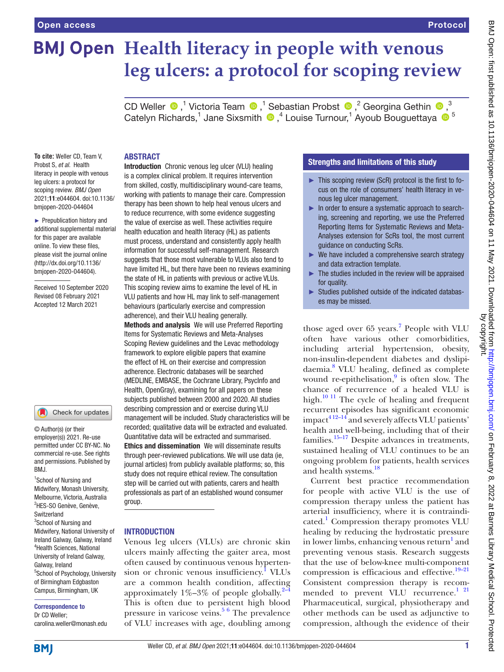## **BMJ Open Health literacy in people with venous leg ulcers: a protocol for scoping review**

CDWeller  $\bigcirc$ ,<sup>1</sup> Victoria Team  $\bigcirc$ ,<sup>1</sup> Sebastian Probst  $\bigcirc$ ,<sup>2</sup> Georgina Gethin  $\bigcirc$ ,<sup>3</sup> Catelyn Richards,<sup>1</sup> Jane Sixsmith  $\bigcirc$ ,<sup>4</sup> Louise Turnour,<sup>1</sup> Ayoub Bouguettaya  $\bigcirc$ <sup>5</sup>

#### ABSTRACT

**To cite:** Weller CD, Team V, Probst S, *et al*. Health literacy in people with venous leg ulcers: a protocol for scoping review. *BMJ Open* 2021;11:e044604. doi:10.1136/ bmjopen-2020-044604

► Prepublication history and additional supplemental material for this paper are available online. To view these files, please visit the journal online [\(http://dx.doi.org/10.1136/](http://dx.doi.org/10.1136/bmjopen-2020-044604) [bmjopen-2020-044604](http://dx.doi.org/10.1136/bmjopen-2020-044604)).

Received 10 September 2020 Revised 08 February 2021 Accepted 12 March 2021

#### Check for updates

© Author(s) (or their employer(s)) 2021. Re-use permitted under CC BY-NC. No commercial re-use. See rights and permissions. Published by BMJ.

<sup>1</sup>School of Nursing and Midwifery, Monash University, Melbourne, Victoria, Australia <sup>2</sup>HES-SO Genève, Genève, Switzerland <sup>3</sup>School of Nursing and Midwifery, National University of Ireland Galway, Galway, Ireland 4 Health Sciences, National University of Ireland Galway, Galway, Ireland 5 School of Psychology, University of Birmingham Edgbaston Campus, Birmingham, UK

#### Correspondence to Dr CD Weller;

carolina.weller@monash.edu

Introduction Chronic venous leg ulcer (VLU) healing is a complex clinical problem. It requires intervention from skilled, costly, multidisciplinary wound-care teams, working with patients to manage their care. Compression therapy has been shown to help heal venous ulcers and to reduce recurrence, with some evidence suggesting the value of exercise as well. These activities require health education and health literacy (HL) as patients must process, understand and consistently apply health information for successful self-management. Research suggests that those most vulnerable to VLUs also tend to have limited HL, but there have been no reviews examining the state of HL in patients with previous or active VLUs. This scoping review aims to examine the level of HL in VLU patients and how HL may link to self-management behaviours (particularly exercise and compression adherence), and their VLU healing generally.

Methods and analysis We will use Preferred Reporting Items for Systematic Reviews and Meta-Analyses Scoping Review guidelines and the Levac methodology framework to explore eligible papers that examine the effect of HL on their exercise and compression adherence. Electronic databases will be searched (MEDLINE, EMBASE, the Cochrane Library, PsycInfo and Health, OpenGray), examining for all papers on these subjects published between 2000 and 2020. All studies describing compression and or exercise during VLU management will be included. Study characteristics will be recorded; qualitative data will be extracted and evaluated. Quantitative data will be extracted and summarised. Ethics and dissemination We will disseminate results through peer-reviewed publications. We will use data (ie, journal articles) from publicly available platforms; so, this study does not require ethical review. The consultation step will be carried out with patients, carers and health professionals as part of an established wound consumer group.

#### INTRODUCTION

Venous leg ulcers (VLUs) are chronic skin ulcers mainly affecting the gaiter area, most often caused by continuous venous hyperten-sion or chronic venous insufficiency.<sup>[1](#page-8-0)</sup> VLUs are a common health condition, affecting approximately  $1\% - 3\%$  of people globally.<sup>2–4</sup> This is often due to persistent high blood pressure in varicose veins.<sup>[5 6](#page-8-2)</sup> The prevalence of VLU increases with age, doubling among

### Strengths and limitations of this study

- ► This scoping review (ScR) protocol is the first to focus on the role of consumers' health literacy in venous leg ulcer management.
- ► In order to ensure a systematic approach to searching, screening and reporting, we use the Preferred Reporting Items for Systematic Reviews and Meta-Analyses extension for ScRs tool, the most current guidance on conducting ScRs.
- ► We have included a comprehensive search strategy and data extraction template.
- The studies included in the review will be appraised for quality.
- ► Studies published outside of the indicated databases may be missed.

those aged over 65 years.<sup>7</sup> People with VLU often have various other comorbidities, including arterial hypertension, obesity, non-insulin-dependent diabetes and dyslipidaemia.[8](#page-8-4) VLU healing, defined as complete wound re-epithelisation,<sup>[9](#page-8-5)</sup> is often slow. The chance of recurrence of a healed VLU is high. $\frac{10 \text{ } 11}{20 \text{ } 11}$  The cycle of healing and frequent recurrent episodes has significant economic  $impact<sup>412–14</sup>$  and severely affects VLU patients' health and well-being, including that of their families. $15-17$  Despite advances in treatments, sustained healing of VLU continues to be an ongoing problem for patients, health services and health systems.<sup>18</sup>

Current best practice recommendation for people with active VLU is the use of compression therapy unless the patient has arterial insufficiency, where it is contraindicated.<sup>1</sup> Compression therapy promotes VLU healing by reducing the hydrostatic pressure in lower limbs, enhancing venous return<sup>[1](#page-8-0)</sup> and preventing venous stasis. Research suggests that the use of below-knee multi-component compression is efficacious and effective.<sup>19-21</sup> Consistent compression therapy is recom-mended to prevent VLU recurrence.<sup>[1 21](#page-8-0)</sup> Pharmaceutical, surgical, physiotherapy and other methods can be used as adjunctive to compression, although the evidence of their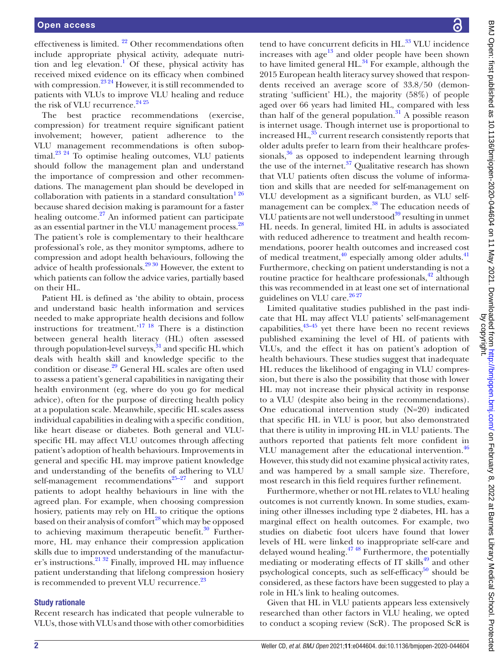effectiveness is limited. [22](#page-9-0) Other recommendations often include appropriate physical activity, adequate nutri-tion and leg elevation.<sup>[1](#page-8-0)</sup> Of these, physical activity has received mixed evidence on its efficacy when combined with compression.<sup>[23 24](#page-9-1)</sup> However, it is still recommended to patients with VLUs to improve VLU healing and reduce the risk of VLU recurrence.<sup>24 25</sup>

The best practice recommendations (exercise, compression) for treatment require significant patient involvement; however, patient adherence to the VLU management recommendations is often suboptimal.<sup>23 24</sup> To optimise healing outcomes, VLU patients should follow the management plan and understand the importance of compression and other recommendations. The management plan should be developed in collaboration with patients in a standard consultation $1^{26}$ because shared decision making is paramount for a faster healing outcome.<sup>[27](#page-9-3)</sup> An informed patient can participate as an essential partner in the VLU management process.<sup>28</sup> The patient's role is complementary to their healthcare professional's role, as they monitor symptoms, adhere to compression and adopt health behaviours, following the advice of health professionals. $2930$  However, the extent to which patients can follow the advice varies, partially based on their HL.

Patient HL is defined as 'the ability to obtain, process and understand basic health information and services needed to make appropriate health decisions and follow instructions for treatment.['17 18](#page-8-11) There is a distinction between general health literacy (HL) often assessed through population-level surveys,<sup>31</sup> and specific HL which deals with health skill and knowledge specific to the condition or disease.<sup>29</sup> General HL scales are often used to assess a patient's general capabilities in navigating their health environment (eg, where do you go for medical advice), often for the purpose of directing health policy at a population scale. Meanwhile, specific HL scales assess individual capabilities in dealing with a specific condition, like heart disease or diabetes. Both general and VLUspecific HL may affect VLU outcomes through affecting patient's adoption of health behaviours. Improvements in general and specific HL may improve patient knowledge and understanding of the benefits of adhering to VLU self-management recommendations $25-27$  and support patients to adopt healthy behaviours in line with the agreed plan. For example, when choosing compression hosiery, patients may rely on HL to critique the options based on their analysis of comfort<sup>28</sup> which may be opposed to achieving maximum therapeutic benefit. $30$  Furthermore, HL may enhance their compression application skills due to improved understanding of the manufacturer's instructions[.21 32](#page-9-9) Finally, improved HL may influence patient understanding that lifelong compression hosiery is recommended to prevent VLU recurrence.<sup>[23](#page-9-1)</sup>

#### Study rationale

Recent research has indicated that people vulnerable to VLUs, those with VLUs and those with other comorbidities

tend to have concurrent deficits in HL.<sup>33</sup> VLU incidence increases with  $age^{13}$  and older people have been shown to have limited general  $HL$ .<sup>34</sup> For example, although the 2015 European health literacy survey showed that respondents received an average score of 33.8/50 (demonstrating 'sufficient' HL), the majority (58%) of people aged over 66 years had limited HL, compared with less than half of the general population. $31$  A possible reason is internet usage. Though internet use is proportional to increased HL,<sup>35</sup> current research consistently reports that older adults prefer to learn from their healthcare professionals, $36$  as opposed to independent learning through the use of the internet. $37$  Qualitative research has shown that VLU patients often discuss the volume of information and skills that are needed for self-management on VLU development as a significant burden, as VLU selfmanagement can be complex.<sup>38</sup> The education needs of VLU patients are not well understood<sup>39</sup> resulting in unmet HL needs. In general, limited HL in adults is associated with reduced adherence to treatment and health recommendations, poorer health outcomes and increased cost of medical treatment,  $40$  especially among older adults.  $41$ Furthermore, checking on patient understanding is not a routine practice for healthcare professionals, $\frac{42}{2}$  although this was recommended in at least one set of international guidelines on VLU care. $26\frac{27}{27}$ 

Limited qualitative studies published in the past indicate that HL may affect VLU patients' self-management capabilities, $43-45$  yet there have been no recent reviews published examining the level of HL of patients with VLUs, and the effect it has on patient's adoption of health behaviours. These studies suggest that inadequate HL reduces the likelihood of engaging in VLU compression, but there is also the possibility that those with lower HL may not increase their physical activity in response to a VLU (despite also being in the recommendations). One educational intervention study (N=20) indicated that specific HL in VLU is poor, but also demonstrated that there is utility in improving HL in VLU patients. The authors reported that patients felt more confident in VLU management after the educational intervention.<sup>[46](#page-9-22)</sup> However, this study did not examine physical activity rates, and was hampered by a small sample size. Therefore, most research in this field requires further refinement.

Furthermore, whether or not HL relates to VLU healing outcomes is not currently known. In some studies, examining other illnesses including type 2 diabetes, HL has a marginal effect on health outcomes. For example, two studies on diabetic foot ulcers have found that lower levels of HL were linked to inappropriate self-care and delayed wound healing. $4748$  Furthermore, the potentially mediating or moderating effects of IT skills<sup>49</sup> and other psychological concepts, such as self-efficacy $50$  should be considered, as these factors have been suggested to play a role in HL's link to healing outcomes.

Given that HL in VLU patients appears less extensively researched than other factors in VLU healing, we opted to conduct a scoping review (ScR). The proposed ScR is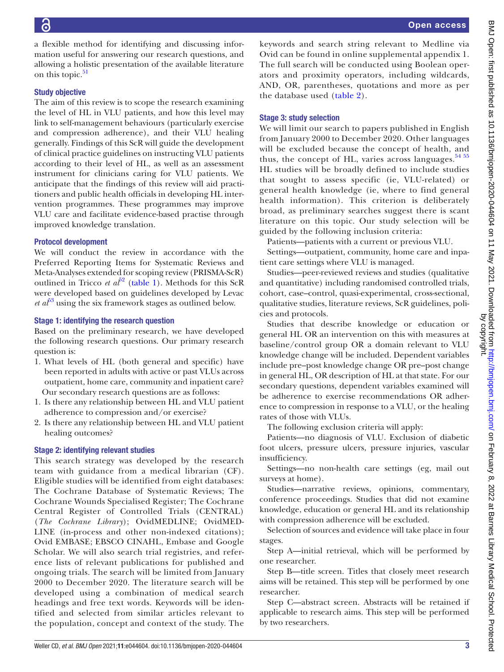a flexible method for identifying and discussing information useful for answering our research questions, and allowing a holistic presentation of the available literature on this topic.<sup>51</sup>

#### Study objective

The aim of this review is to scope the research examining the level of HL in VLU patients, and how this level may link to self-management behaviours (particularly exercise and compression adherence), and their VLU healing generally. Findings of this ScR will guide the development of clinical practice guidelines on instructing VLU patients according to their level of HL, as well as an assessment instrument for clinicians caring for VLU patients. We anticipate that the findings of this review will aid practitioners and public health officials in developing HL intervention programmes. These programmes may improve VLU care and facilitate evidence-based practise through improved knowledge translation.

#### Protocol development

We will conduct the review in accordance with the Preferred Reporting Items for Systematic Reviews and Meta-Analyses extended for scoping review (PRISMA-ScR) outlined in Tricco *et al*<sup> $52$ </sup> [\(table](#page-4-0) 1). Methods for this ScR were developed based on guidelines developed by Levac  $et\ a\bar{b}^3$  using the six framework stages as outlined below.

#### Stage 1: identifying the research question

Based on the preliminary research, we have developed the following research questions. Our primary research question is:

- 1. What levels of HL (both general and specific) have been reported in adults with active or past VLUs across outpatient, home care, community and inpatient care? Our secondary research questions are as follows:
- 1. Is there any relationship between HL and VLU patient adherence to compression and/or exercise?
- 2. Is there any relationship between HL and VLU patient healing outcomes?

#### Stage 2: identifying relevant studies

This search strategy was developed by the research team with guidance from a medical librarian (CF). Eligible studies will be identified from eight databases: The Cochrane Database of Systematic Reviews; The Cochrane Wounds Specialised Register; The Cochrane Central Register of Controlled Trials (CENTRAL) (*The Cochrane Library*); OvidMEDLINE; OvidMED-LINE (in-process and other non-indexed citations); Ovid EMBASE; EBSCO CINAHL, Embase and Google Scholar. We will also search trial registries, and reference lists of relevant publications for published and ongoing trials. The search will be limited from January 2000 to December 2020. The literature search will be developed using a combination of medical search headings and free text words. Keywords will be identified and selected from similar articles relevant to the population, concept and context of the study. The

keywords and search string relevant to Medline via Ovid can be found in [online supplemental appendix 1](https://dx.doi.org/10.1136/bmjopen-2020-044604). The full search will be conducted using Boolean operators and proximity operators, including wildcards, AND, OR, parentheses, quotations and more as per the database used ([table](#page-6-0) 2).

#### Stage 3: study selection

We will limit our search to papers published in English from January 2000 to December 2020. Other languages will be excluded because the concept of health, and thus, the concept of HL, varies across languages. $54 55$ HL studies will be broadly defined to include studies that sought to assess specific (ie, VLU-related) or general health knowledge (ie, where to find general health information). This criterion is deliberately broad, as preliminary searches suggest there is scant literature on this topic. Our study selection will be guided by the following inclusion criteria:

Patients—patients with a current or previous VLU.

Settings—outpatient, community, home care and inpatient care settings where VLU is managed.

Studies—peer-reviewed reviews and studies (qualitative and quantitative) including randomised controlled trials, cohort, case–control, quasi-experimental, cross-sectional, qualitative studies, literature reviews, ScR guidelines, policies and protocols.

Studies that describe knowledge or education or general HL OR an intervention on this with measures at baseline/control group OR a domain relevant to VLU knowledge change will be included. Dependent variables include pre–post knowledge change OR pre–post change in general HL, OR description of HL at that state. For our secondary questions, dependent variables examined will be adherence to exercise recommendations OR adherence to compression in response to a VLU, or the healing rates of those with VLUs.

The following exclusion criteria will apply:

Patients—no diagnosis of VLU. Exclusion of diabetic foot ulcers, pressure ulcers, pressure injuries, vascular insufficiency.

Settings—no non-health care settings (eg, mail out surveys at home).

Studies—narrative reviews, opinions, commentary, conference proceedings. Studies that did not examine knowledge, education or general HL and its relationship with compression adherence will be excluded.

Selection of sources and evidence will take place in four stages.

Step A—initial retrieval, which will be performed by one researcher.

Step B—title screen. Titles that closely meet research aims will be retained. This step will be performed by one researcher.

Step C—abstract screen. Abstracts will be retained if applicable to research aims. This step will be performed by two researchers.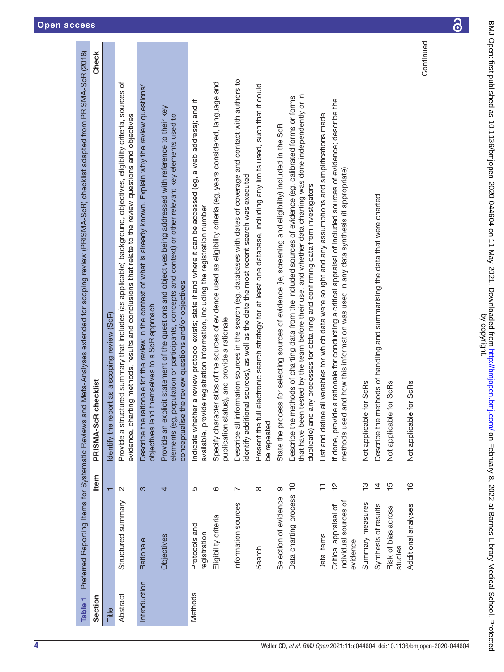<span id="page-4-0"></span>

| PRISMA-ScR checklist<br>Not applicable for ScRs<br>Not applicable for ScRs<br>Not applicable for ScRs<br>objectives len<br>elements (eg,<br>Describe the<br>be repeated<br>Item<br>$\frac{0}{1}$<br>$\frac{6}{1}$<br>$\frac{2}{1}$<br>$\frac{1}{2}$<br>$\overline{4}$<br>$\frac{5}{1}$<br>Ξ<br>$\infty$<br>တ<br>$\mathbf{\Omega}$<br>က<br>5<br>ဖ<br>4<br>$\overline{\phantom{0}}$<br>Data charting process<br>Selection of evidence<br>individual sources of<br>Structured summary<br>Summary measures<br>Information sources<br>Synthesis of results<br>Additional analyses<br>Critical appraisal of<br>Risk of bias across<br>Eligibility criteria<br>Protocols and<br>registration<br>Data items<br>Objectives<br>Rationale<br>evidence<br>studies<br>Search<br>Introduction<br>Methods<br>Abstract<br>Section<br>Title | and Meta-Analyses extended for scoping review (PRISMA-ScR) checklist adapted from PRISMA-ScR (2018)<br>Preferred Reporting Items for Systematic Reviews                                                                                                                                                       |
|----------------------------------------------------------------------------------------------------------------------------------------------------------------------------------------------------------------------------------------------------------------------------------------------------------------------------------------------------------------------------------------------------------------------------------------------------------------------------------------------------------------------------------------------------------------------------------------------------------------------------------------------------------------------------------------------------------------------------------------------------------------------------------------------------------------------------|---------------------------------------------------------------------------------------------------------------------------------------------------------------------------------------------------------------------------------------------------------------------------------------------------------------|
|                                                                                                                                                                                                                                                                                                                                                                                                                                                                                                                                                                                                                                                                                                                                                                                                                            | Check                                                                                                                                                                                                                                                                                                         |
|                                                                                                                                                                                                                                                                                                                                                                                                                                                                                                                                                                                                                                                                                                                                                                                                                            | Identify the report as a scoping review (ScR)                                                                                                                                                                                                                                                                 |
|                                                                                                                                                                                                                                                                                                                                                                                                                                                                                                                                                                                                                                                                                                                                                                                                                            | Provide a structured summary that includes (as applicable) background, objectives, eligibility criteria, sources of<br>evidence, charting methods, results and conclusions that relate to the review questions and objectives                                                                                 |
|                                                                                                                                                                                                                                                                                                                                                                                                                                                                                                                                                                                                                                                                                                                                                                                                                            | Describe the rationale for the review in the context of what is already known. Explain why the review questions/<br>id themselves to a ScR approach                                                                                                                                                           |
|                                                                                                                                                                                                                                                                                                                                                                                                                                                                                                                                                                                                                                                                                                                                                                                                                            | Provide an explicit statement of the questions and objectives being addressed with reference to their key<br>population or participants, concepts and context) or other relevant key elements used to<br>conceptualise the review questions and/or objectives                                                 |
|                                                                                                                                                                                                                                                                                                                                                                                                                                                                                                                                                                                                                                                                                                                                                                                                                            | Indicate whether a review protocol exists; state if and where it can be accessed (eg, a web address); and if<br>available, provide registration information, including the registration number                                                                                                                |
|                                                                                                                                                                                                                                                                                                                                                                                                                                                                                                                                                                                                                                                                                                                                                                                                                            | Specify characteristics of the sources of evidence used as eligibility criteria (eg, years considered, language and<br>publication status), and provide a rationale                                                                                                                                           |
|                                                                                                                                                                                                                                                                                                                                                                                                                                                                                                                                                                                                                                                                                                                                                                                                                            | Describe all information sources in the search (eg, databases with dates of coverage and contact with authors to<br>identify additional sources), as well as the date the most recent search was executed                                                                                                     |
|                                                                                                                                                                                                                                                                                                                                                                                                                                                                                                                                                                                                                                                                                                                                                                                                                            | Present the full electronic search strategy for at least one database, including any limits used, such that it could                                                                                                                                                                                          |
|                                                                                                                                                                                                                                                                                                                                                                                                                                                                                                                                                                                                                                                                                                                                                                                                                            | State the process for selecting sources of evidence (ie, screening and eligibility) included in the ScR                                                                                                                                                                                                       |
|                                                                                                                                                                                                                                                                                                                                                                                                                                                                                                                                                                                                                                                                                                                                                                                                                            | that have been tested by the team before their use, and whether data charting was done independently or in<br>Describe the methods of charting data from the included sources of evidence (eg, calibrated forms or forms<br>duplicate) and any processes for obtaining and confirming data from investigators |
|                                                                                                                                                                                                                                                                                                                                                                                                                                                                                                                                                                                                                                                                                                                                                                                                                            | List and define all variables for which data were sought and any assumptions and simplifications made                                                                                                                                                                                                         |
|                                                                                                                                                                                                                                                                                                                                                                                                                                                                                                                                                                                                                                                                                                                                                                                                                            | If done, provide a rationale for conducting a critical appraisal of included sources of evidence; describe the<br>methods used and how this information was used in any data synthesis (if appropriate)                                                                                                       |
|                                                                                                                                                                                                                                                                                                                                                                                                                                                                                                                                                                                                                                                                                                                                                                                                                            |                                                                                                                                                                                                                                                                                                               |
|                                                                                                                                                                                                                                                                                                                                                                                                                                                                                                                                                                                                                                                                                                                                                                                                                            | methods of handling and summarising the data that were charted                                                                                                                                                                                                                                                |
|                                                                                                                                                                                                                                                                                                                                                                                                                                                                                                                                                                                                                                                                                                                                                                                                                            |                                                                                                                                                                                                                                                                                                               |
|                                                                                                                                                                                                                                                                                                                                                                                                                                                                                                                                                                                                                                                                                                                                                                                                                            |                                                                                                                                                                                                                                                                                                               |
|                                                                                                                                                                                                                                                                                                                                                                                                                                                                                                                                                                                                                                                                                                                                                                                                                            | Continued                                                                                                                                                                                                                                                                                                     |

 $\overline{\partial}$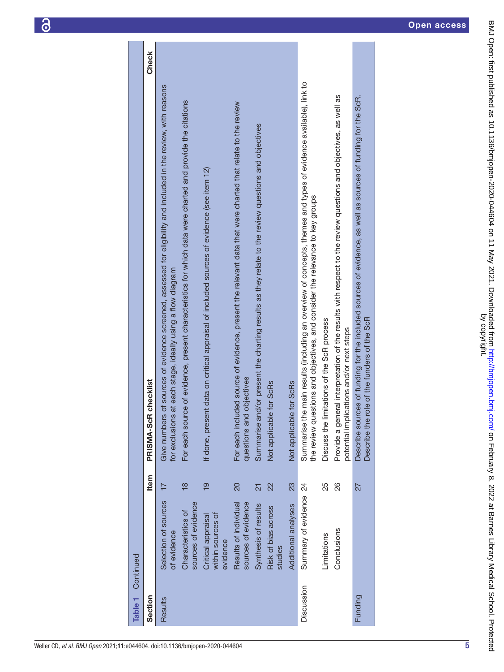| Table <sub>1</sub> | Continued                                           |                 |                                                                                                                                                                                                  |              |
|--------------------|-----------------------------------------------------|-----------------|--------------------------------------------------------------------------------------------------------------------------------------------------------------------------------------------------|--------------|
| Section            |                                                     | Item            | PRISMA-ScR checklist                                                                                                                                                                             | <b>Check</b> |
| Results            | Selection of sources<br>of evidence                 | $\overline{17}$ | Give numbers of sources of evidence screened, assessed for eligibility and included in the review, with reasons<br>for exclusions at each stage, ideally using a flow diagram                    |              |
|                    | sources of evidence<br>Characteristics of           | $\frac{8}{18}$  | For each source of evidence, present characteristics for which data were charted and provide the citations                                                                                       |              |
|                    | within sources of<br>Critical appraisal<br>evidence | $\frac{9}{5}$   | If done, present data on critical appraisal of included sources of evidence (see item 12)                                                                                                        |              |
|                    | sources of evidence<br>Results of individual        | 20              | For each included source of evidence, present the relevant data that were charted that relate to the review<br>questions and objectives                                                          |              |
|                    | Synthesis of results                                | $\overline{21}$ | Summarise and/or present the charting results as they relate to the review questions and objectives                                                                                              |              |
|                    | Risk of bias across<br>studies                      | 22              | Not applicable for ScRs                                                                                                                                                                          |              |
|                    | Additional analyses                                 | 23              | Not applicable for ScRs                                                                                                                                                                          |              |
| Discussion         | Summary of evidence 24                              |                 | Summarise the main results (including an overview of concepts, themes and types of evidence available), link to<br>the review questions and objectives, and consider the relevance to key groups |              |
|                    | Limitations                                         | 25              | Discuss the limitations of the ScR process                                                                                                                                                       |              |
|                    | Conclusions                                         | 26              | Provide a general interpretation of the results with respect to the review questions and objectives, as well as<br>potential implications and/or next steps                                      |              |
| Funding            |                                                     | 27              | Describe sources of funding for the included sources of evidence, as well as sources of funding for the ScR.<br>Describe the role of the funders of the ScR                                      |              |
|                    |                                                     |                 |                                                                                                                                                                                                  |              |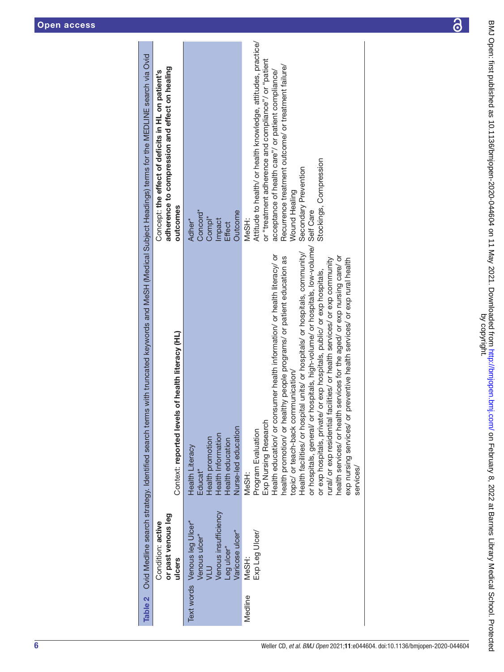<span id="page-6-0"></span>

|         |                                                                                                               | Table 2 Ovid Medline search strategy. Identified search terms with truncated keywords and MeSH (Medical Subject Headings) terms for the MEDLINE search via Ovid                                                                                                                                                                                                                                                                                                                                                                                                                                                                                                                                                                                        |                                                                                                                                                                                                                                                                                                                |
|---------|---------------------------------------------------------------------------------------------------------------|--------------------------------------------------------------------------------------------------------------------------------------------------------------------------------------------------------------------------------------------------------------------------------------------------------------------------------------------------------------------------------------------------------------------------------------------------------------------------------------------------------------------------------------------------------------------------------------------------------------------------------------------------------------------------------------------------------------------------------------------------------|----------------------------------------------------------------------------------------------------------------------------------------------------------------------------------------------------------------------------------------------------------------------------------------------------------------|
|         | or past venous leg<br>Condition: active<br>ulcers                                                             | Context: reported levels of health literacy (HL)                                                                                                                                                                                                                                                                                                                                                                                                                                                                                                                                                                                                                                                                                                       | adherence to compression and effect on healing<br>Concept: the effect of deficits in HL on patient's<br>outcomes                                                                                                                                                                                               |
|         | Venous insufficiency<br>Text words Venous leg Ulcer*<br>Varicose ulcer*<br>Venous ulcer*<br>Leg ulcer*<br>NTA | Nurse-led education<br>Health Information<br>Health promotion<br>Health education<br><b>Health Literacy</b><br>Educat <sup>*</sup>                                                                                                                                                                                                                                                                                                                                                                                                                                                                                                                                                                                                                     | Concord*<br>Outcome<br>Comp <sup>*</sup><br>Impact<br>Adher*<br><b>Effect</b>                                                                                                                                                                                                                                  |
| Medline | Exp Leg Ulcer/<br>MeSH:                                                                                       | or hospitals, general/ or hospitals, high-volume/ or hospitals, low-volume/ Self Care<br>Health facilities/ or hospital units/ or hospitals/ or hospitals, community/<br>Health education/ or consumer health information/ or health literacy/ or<br>health services/ or health services for the aged/ or exp nursing care/ or<br>health promotion/ or healthy people programs/ or patient education as<br>exp nursing services/ or preventive health services/ or exp rural health<br>rural/ or exp residential facilities/ or health services/ or exp community<br>or exp hospitals, private/ or exp hospitals, public/ or exp hospitals,<br>topic/ or teach-back communication/<br>Exp Nursing Research<br>Program Evaluation<br>services/<br>MeSH: | Attitude to health/ or health knowledge, attitudes, practice/<br>or "treatment adherence and compliance"/ or "patient<br>Recurrence treatment outcome/ or treatment failure/<br>acceptance of health care"/ or patient compliance/<br>Stockings, Compression<br>Secondary Prevention<br>Wound Healing<br>MeSH: |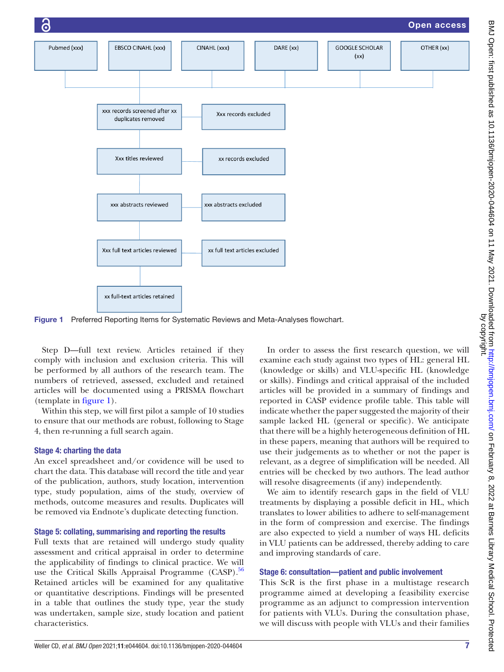

<span id="page-7-0"></span>Figure 1 Preferred Reporting Items for Systematic Reviews and Meta-Analyses flowchart.

Step D—full text review. Articles retained if they comply with inclusion and exclusion criteria. This will be performed by all authors of the research team. The numbers of retrieved, assessed, excluded and retained articles will be documented using a PRISMA flowchart (template in [figure](#page-7-0) 1).

Within this step, we will first pilot a sample of 10 studies to ensure that our methods are robust, following to Stage 4, then re-running a full search again.

#### Stage 4: charting the data

An excel spreadsheet and/or covidence will be used to chart the data. This database will record the title and year of the publication, authors, study location, intervention type, study population, aims of the study, overview of methods, outcome measures and results. Duplicates will be removed via Endnote's duplicate detecting function.

#### Stage 5: collating, summarising and reporting the results

Full texts that are retained will undergo study quality assessment and critical appraisal in order to determine the applicability of findings to clinical practice. We will use the Critical Skills Appraisal Programme (CASP).<sup>56</sup> Retained articles will be examined for any qualitative or quantitative descriptions. Findings will be presented in a table that outlines the study type, year the study was undertaken, sample size, study location and patient characteristics.

In order to assess the first research question, we will examine each study against two types of HL: general HL (knowledge or skills) and VLU-specific HL (knowledge or skills). Findings and critical appraisal of the included articles will be provided in a summary of findings and reported in CASP evidence profile table. This table will indicate whether the paper suggested the majority of their sample lacked HL (general or specific). We anticipate that there will be a highly heterogeneous definition of HL in these papers, meaning that authors will be required to use their judgements as to whether or not the paper is relevant, as a degree of simplification will be needed. All entries will be checked by two authors. The lead author will resolve disagreements (if any) independently.

We aim to identify research gaps in the field of VLU treatments by displaying a possible deficit in HL, which translates to lower abilities to adhere to self-management in the form of compression and exercise. The findings are also expected to yield a number of ways HL deficits in VLU patients can be addressed, thereby adding to care and improving standards of care.

#### Stage 6: consultation—patient and public involvement

This ScR is the first phase in a multistage research programme aimed at developing a feasibility exercise programme as an adjunct to compression intervention for patients with VLUs. During the consultation phase, we will discuss with people with VLUs and their families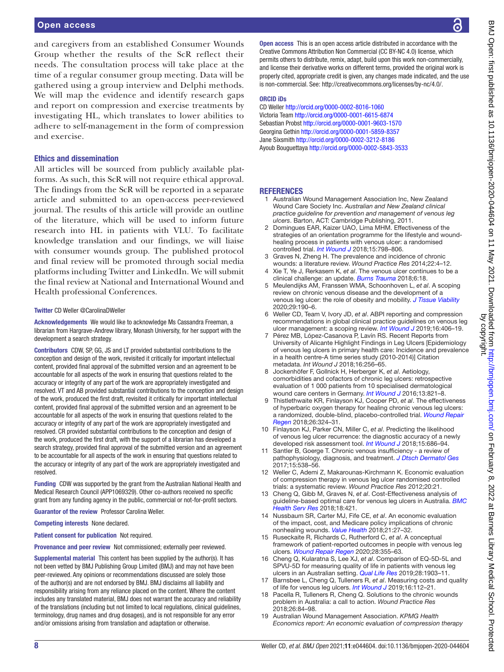and caregivers from an established Consumer Wounds Group whether the results of the ScR reflect their needs. The consultation process will take place at the time of a regular consumer group meeting. Data will be gathered using a group interview and Delphi methods. We will map the evidence and identify research gaps and report on compression and exercise treatments by investigating HL, which translates to lower abilities to adhere to self-management in the form of compression and exercise.

#### Ethics and dissemination

All articles will be sourced from publicly available platforms. As such, this ScR will not require ethical approval. The findings from the ScR will be reported in a separate article and submitted to an open-access peer-reviewed journal. The results of this article will provide an outline of the literature, which will be used to inform future research into HL in patients with VLU. To facilitate knowledge translation and our findings, we will liaise with consumer wounds group. The published protocol and final review will be promoted through social media platforms including Twitter and LinkedIn. We will submit the final review at National and International Wound and Health professional Conferences.

#### Twitter CD Weller [@CarolinaDWeller](https://twitter.com/CarolinaDWeller)

Acknowledgements We would like to acknowledge Ms Cassandra Freeman, a librarian from Hargrave-Andrew library, Monash University, for her support with the development a search strategy.

Contributors CDW, SP, GG, JS and LT provided substantial contributions to the conception and design of the work, revisited it critically for important intellectual content, provided final approval of the submitted version and an agreement to be accountable for all aspects of the work in ensuring that questions related to the accuracy or integrity of any part of the work are appropriately investigated and resolved. VT and AB provided substantial contributions to the conception and design of the work, produced the first draft, revisited it critically for important intellectual content, provided final approval of the submitted version and an agreement to be accountable for all aspects of the work in ensuring that questions related to the accuracy or integrity of any part of the work are appropriately investigated and resolved. CR provided substantial contributions to the conception and design of the work, produced the first draft, with the support of a librarian has developed a search strategy, provided final approval of the submitted version and an agreement to be accountable for all aspects of the work in ensuring that questions related to the accuracy or integrity of any part of the work are appropriately investigated and resolved.

Funding CDW was supported by the grant from the Australian National Health and Medical Research Council (APP1069329). Other co-authors received no specific grant from any funding agency in the public, commercial or not-for-profit sectors.

Guarantor of the review Professor Carolina Weller.

Competing interests None declared.

Patient consent for publication Not required.

Provenance and peer review Not commissioned; externally peer reviewed.

Supplemental material This content has been supplied by the author(s). It has not been vetted by BMJ Publishing Group Limited (BMJ) and may not have been peer-reviewed. Any opinions or recommendations discussed are solely those of the author(s) and are not endorsed by BMJ. BMJ disclaims all liability and responsibility arising from any reliance placed on the content. Where the content includes any translated material, BMJ does not warrant the accuracy and reliability of the translations (including but not limited to local regulations, clinical guidelines, terminology, drug names and drug dosages), and is not responsible for any error and/or omissions arising from translation and adaptation or otherwise.

Open access This is an open access article distributed in accordance with the Creative Commons Attribution Non Commercial (CC BY-NC 4.0) license, which permits others to distribute, remix, adapt, build upon this work non-commercially, and license their derivative works on different terms, provided the original work is properly cited, appropriate credit is given, any changes made indicated, and the use is non-commercial. See: [http://creativecommons.org/licenses/by-nc/4.0/.](http://creativecommons.org/licenses/by-nc/4.0/)

#### ORCID iDs

CD Weller <http://orcid.org/0000-0002-8016-1060> Victoria Team <http://orcid.org/0000-0001-6615-6874> Sebastian Probst <http://orcid.org/0000-0001-9603-1570> Georgina Gethin<http://orcid.org/0000-0001-5859-8357> Jane Sixsmith<http://orcid.org/0000-0002-3212-8186> Ayoub Bouguettaya <http://orcid.org/0000-0002-5843-3533>

#### **REFERENCES**

- <span id="page-8-0"></span>1 Australian Wound Management Association Inc, New Zealand Wound Care Society Inc. *Australian and New Zealand clinical practice guideline for prevention and management of venous leg ulcers*. Barton, ACT: Cambridge Publishing, 2011.
- <span id="page-8-1"></span>2 Domingues EAR, Kaizer UAO, Lima MHM. Effectiveness of the strategies of an orientation programme for the lifestyle and woundhealing process in patients with venous ulcer: a randomised controlled trial. *[Int Wound J](http://dx.doi.org/10.1111/iwj.12930)* 2018;15:798–806.
- 3 Graves N, Zheng H. The prevalence and incidence of chronic wounds: a literature review. *Wound Practice Res* 2014;22:4–12.
- <span id="page-8-7"></span>4 Xie T, Ye J, Rerkasem K, *et al*. The venous ulcer continues to be a clinical challenge: an update. *[Burns Trauma](http://dx.doi.org/10.1186/s41038-018-0119-y)* 2018;6:18.
- <span id="page-8-2"></span>5 Meulendijks AM, Franssen WMA, Schoonhoven L, *et al*. A scoping review on chronic venous disease and the development of a venous leg ulcer: the role of obesity and mobility. *[J Tissue Viability](http://dx.doi.org/10.1016/j.jtv.2019.10.002)* 2020;29:190–6.
- 6 Weller CD, Team V, Ivory JD, *et al*. ABPI reporting and compression recommendations in global clinical practice guidelines on venous leg ulcer management: a scoping review. *[Int Wound J](http://dx.doi.org/10.1111/iwj.13048)* 2019;16:406–19.
- <span id="page-8-3"></span>7 Pérez MB, López‐Casanova P, Lavín RS. Recent Reports from University of Alicante Highlight Findings in Leg Ulcers [Epidemiology of venous leg ulcers in primary health care: Incidence and prevalence in a health centre-A time series study (2010-2014)] Citation metadata. *Int Wound J* 2018;16:256–65.
- <span id="page-8-4"></span>8 Jockenhöfer F, Gollnick H, Herberger K, *et al*. Aetiology, comorbidities and cofactors of chronic leg ulcers: retrospective evaluation of 1 000 patients from 10 specialised dermatological wound care centers in Germany. *[Int Wound J](http://dx.doi.org/10.1111/iwj.12387)* 2016;13:821–8.
- <span id="page-8-5"></span>9 Thistlethwaite KR, Finlayson KJ, Cooper PD, *et al*. The effectiveness of hyperbaric oxygen therapy for healing chronic venous leg ulcers: a randomized, double-blind, placebo-controlled trial. *[Wound Repair](http://dx.doi.org/10.1111/wrr.12657)  [Regen](http://dx.doi.org/10.1111/wrr.12657)* 2018;26:324–31.
- <span id="page-8-6"></span>10 Finlayson KJ, Parker CN, Miller C, *et al*. Predicting the likelihood of venous leg ulcer recurrence: the diagnostic accuracy of a newly developed risk assessment tool. *[Int Wound J](http://dx.doi.org/10.1111/iwj.12911)* 2018;15:686–94.
- 11 Santler B, Goerge T. Chronic venous insufficiency a review of pathophysiology, diagnosis, and treatment. *[J Dtsch Dermatol Ges](http://dx.doi.org/10.1111/ddg.13242)* 2017;15:538–56.
- 12 Weller C, Ademi Z, Makarounas-Kirchmann K. Economic evaluation of compression therapy in venous leg ulcer randomised controlled trials: a systematic review. *Wound Practice Res* 2012;20:21.
- <span id="page-8-12"></span>13 Cheng Q, Gibb M, Graves N, *et al*. Cost-Effectiveness analysis of guideline-based optimal care for venous leg ulcers in Australia. *[BMC](http://dx.doi.org/10.1186/s12913-018-3234-3)  [Health Serv Res](http://dx.doi.org/10.1186/s12913-018-3234-3)* 2018;18:421.
- 14 Nussbaum SR, Carter MJ, Fife CE, *et al*. An economic evaluation of the impact, cost, and Medicare policy implications of chronic nonhealing wounds. *[Value Health](http://dx.doi.org/10.1016/j.jval.2017.07.007)* 2018;21:27–32.
- <span id="page-8-8"></span>15 Ruseckaite R, Richards C, Rutherford C, *et al*. A conceptual framework of patient-reported outcomes in people with venous leg ulcers. *[Wound Repair Regen](http://dx.doi.org/10.1111/wrr.12787)* 2020;28:355–63.
- 16 Cheng Q, Kularatna S, Lee XJ, *et al*. Comparison of EQ-5D-5L and SPVU-5D for measuring quality of life in patients with venous leg ulcers in an Australian setting. *[Qual Life Res](http://dx.doi.org/10.1007/s11136-019-02128-6)* 2019;28:1903–11.
- <span id="page-8-11"></span>17 Barnsbee L, Cheng Q, Tulleners R, *et al*. Measuring costs and quality of life for venous leg ulcers. *[Int Wound J](http://dx.doi.org/10.1111/iwj.13000)* 2019;16:112–21.
- <span id="page-8-9"></span>18 Pacella R, Tulleners R, Cheng Q. Solutions to the chronic wounds problem in Australia: a call to action. *Wound Practice Res* 2018;26:84–98.
- <span id="page-8-10"></span>19 Australian Wound Management Association. *KPMG Health Economics report: An economic evaluation of compression therapy*